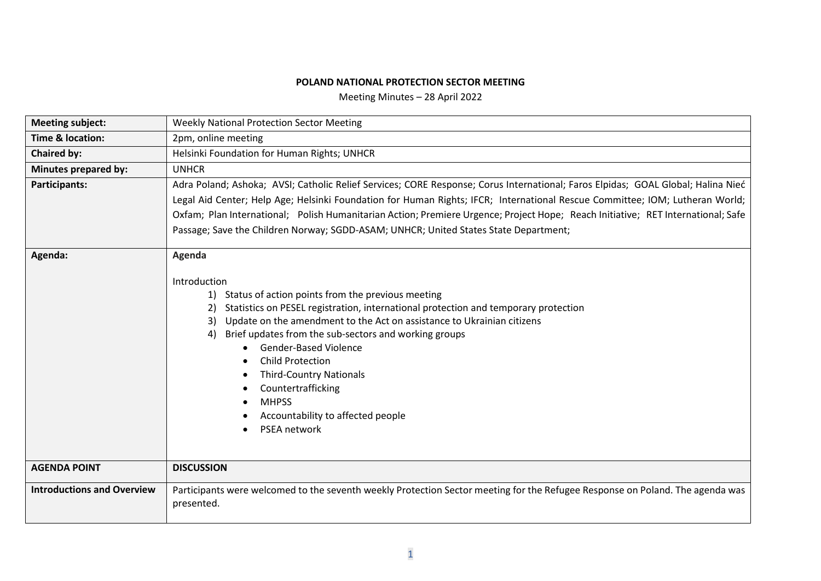## **POLAND NATIONAL PROTECTION SECTOR MEETING**

Meeting Minutes – 28 April 2022

| <b>Meeting subject:</b>           | <b>Weekly National Protection Sector Meeting</b>                                                                                                                                                                                                                                                                                                                                                                                                                                                                          |  |  |  |  |  |
|-----------------------------------|---------------------------------------------------------------------------------------------------------------------------------------------------------------------------------------------------------------------------------------------------------------------------------------------------------------------------------------------------------------------------------------------------------------------------------------------------------------------------------------------------------------------------|--|--|--|--|--|
| <b>Time &amp; location:</b>       | 2pm, online meeting                                                                                                                                                                                                                                                                                                                                                                                                                                                                                                       |  |  |  |  |  |
| <b>Chaired by:</b>                | Helsinki Foundation for Human Rights; UNHCR                                                                                                                                                                                                                                                                                                                                                                                                                                                                               |  |  |  |  |  |
| <b>Minutes prepared by:</b>       | <b>UNHCR</b>                                                                                                                                                                                                                                                                                                                                                                                                                                                                                                              |  |  |  |  |  |
| Participants:                     | Adra Poland; Ashoka; AVSI; Catholic Relief Services; CORE Response; Corus International; Faros Elpidas; GOAL Global; Halina Nieć<br>Legal Aid Center; Help Age; Helsinki Foundation for Human Rights; IFCR; International Rescue Committee; IOM; Lutheran World;<br>Oxfam; Plan International; Polish Humanitarian Action; Premiere Urgence; Project Hope; Reach Initiative; RET International; Safe<br>Passage; Save the Children Norway; SGDD-ASAM; UNHCR; United States State Department;                              |  |  |  |  |  |
| Agenda:                           | Agenda<br>Introduction<br>1) Status of action points from the previous meeting<br>Statistics on PESEL registration, international protection and temporary protection<br>2)<br>Update on the amendment to the Act on assistance to Ukrainian citizens<br>3)<br>Brief updates from the sub-sectors and working groups<br>4)<br><b>Gender-Based Violence</b><br><b>Child Protection</b><br><b>Third-Country Nationals</b><br>Countertrafficking<br><b>MHPSS</b><br>Accountability to affected people<br><b>PSEA network</b> |  |  |  |  |  |
| <b>AGENDA POINT</b>               | <b>DISCUSSION</b>                                                                                                                                                                                                                                                                                                                                                                                                                                                                                                         |  |  |  |  |  |
| <b>Introductions and Overview</b> | Participants were welcomed to the seventh weekly Protection Sector meeting for the Refugee Response on Poland. The agenda was<br>presented.                                                                                                                                                                                                                                                                                                                                                                               |  |  |  |  |  |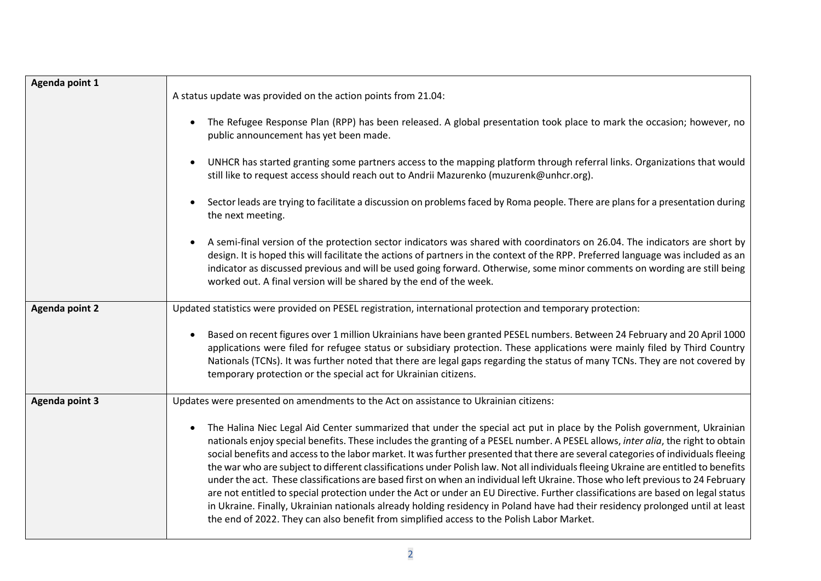| Agenda point 1        | A status update was provided on the action points from 21.04:<br>The Refugee Response Plan (RPP) has been released. A global presentation took place to mark the occasion; however, no<br>$\bullet$<br>public announcement has yet been made.                                                                                                                                                                                                                                                                                                                                                                                                                                                                                                                                                                                                                                                                                                                                                                                                              |
|-----------------------|------------------------------------------------------------------------------------------------------------------------------------------------------------------------------------------------------------------------------------------------------------------------------------------------------------------------------------------------------------------------------------------------------------------------------------------------------------------------------------------------------------------------------------------------------------------------------------------------------------------------------------------------------------------------------------------------------------------------------------------------------------------------------------------------------------------------------------------------------------------------------------------------------------------------------------------------------------------------------------------------------------------------------------------------------------|
|                       | UNHCR has started granting some partners access to the mapping platform through referral links. Organizations that would<br>still like to request access should reach out to Andrii Mazurenko (muzurenk@unhcr.org).                                                                                                                                                                                                                                                                                                                                                                                                                                                                                                                                                                                                                                                                                                                                                                                                                                        |
|                       | Sector leads are trying to facilitate a discussion on problems faced by Roma people. There are plans for a presentation during<br>$\bullet$<br>the next meeting.                                                                                                                                                                                                                                                                                                                                                                                                                                                                                                                                                                                                                                                                                                                                                                                                                                                                                           |
|                       | A semi-final version of the protection sector indicators was shared with coordinators on 26.04. The indicators are short by<br>design. It is hoped this will facilitate the actions of partners in the context of the RPP. Preferred language was included as an<br>indicator as discussed previous and will be used going forward. Otherwise, some minor comments on wording are still being<br>worked out. A final version will be shared by the end of the week.                                                                                                                                                                                                                                                                                                                                                                                                                                                                                                                                                                                        |
| <b>Agenda point 2</b> | Updated statistics were provided on PESEL registration, international protection and temporary protection:                                                                                                                                                                                                                                                                                                                                                                                                                                                                                                                                                                                                                                                                                                                                                                                                                                                                                                                                                 |
|                       | Based on recent figures over 1 million Ukrainians have been granted PESEL numbers. Between 24 February and 20 April 1000<br>$\bullet$<br>applications were filed for refugee status or subsidiary protection. These applications were mainly filed by Third Country<br>Nationals (TCNs). It was further noted that there are legal gaps regarding the status of many TCNs. They are not covered by<br>temporary protection or the special act for Ukrainian citizens.                                                                                                                                                                                                                                                                                                                                                                                                                                                                                                                                                                                      |
| <b>Agenda point 3</b> | Updates were presented on amendments to the Act on assistance to Ukrainian citizens:                                                                                                                                                                                                                                                                                                                                                                                                                                                                                                                                                                                                                                                                                                                                                                                                                                                                                                                                                                       |
|                       | The Halina Niec Legal Aid Center summarized that under the special act put in place by the Polish government, Ukrainian<br>$\bullet$<br>nationals enjoy special benefits. These includes the granting of a PESEL number. A PESEL allows, inter alia, the right to obtain<br>social benefits and access to the labor market. It was further presented that there are several categories of individuals fleeing<br>the war who are subject to different classifications under Polish law. Not all individuals fleeing Ukraine are entitled to benefits<br>under the act. These classifications are based first on when an individual left Ukraine. Those who left previous to 24 February<br>are not entitled to special protection under the Act or under an EU Directive. Further classifications are based on legal status<br>in Ukraine. Finally, Ukrainian nationals already holding residency in Poland have had their residency prolonged until at least<br>the end of 2022. They can also benefit from simplified access to the Polish Labor Market. |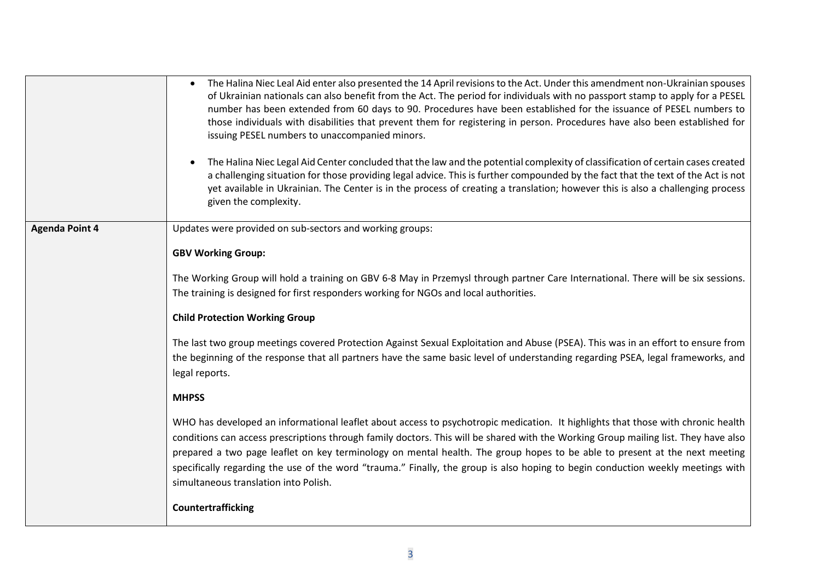|                       | The Halina Niec Leal Aid enter also presented the 14 April revisions to the Act. Under this amendment non-Ukrainian spouses<br>of Ukrainian nationals can also benefit from the Act. The period for individuals with no passport stamp to apply for a PESEL<br>number has been extended from 60 days to 90. Procedures have been established for the issuance of PESEL numbers to<br>those individuals with disabilities that prevent them for registering in person. Procedures have also been established for<br>issuing PESEL numbers to unaccompanied minors.<br>The Halina Niec Legal Aid Center concluded that the law and the potential complexity of classification of certain cases created<br>a challenging situation for those providing legal advice. This is further compounded by the fact that the text of the Act is not<br>yet available in Ukrainian. The Center is in the process of creating a translation; however this is also a challenging process<br>given the complexity. |  |  |  |  |
|-----------------------|-----------------------------------------------------------------------------------------------------------------------------------------------------------------------------------------------------------------------------------------------------------------------------------------------------------------------------------------------------------------------------------------------------------------------------------------------------------------------------------------------------------------------------------------------------------------------------------------------------------------------------------------------------------------------------------------------------------------------------------------------------------------------------------------------------------------------------------------------------------------------------------------------------------------------------------------------------------------------------------------------------|--|--|--|--|
| <b>Agenda Point 4</b> | Updates were provided on sub-sectors and working groups:                                                                                                                                                                                                                                                                                                                                                                                                                                                                                                                                                                                                                                                                                                                                                                                                                                                                                                                                            |  |  |  |  |
|                       | <b>GBV Working Group:</b>                                                                                                                                                                                                                                                                                                                                                                                                                                                                                                                                                                                                                                                                                                                                                                                                                                                                                                                                                                           |  |  |  |  |
|                       | The Working Group will hold a training on GBV 6-8 May in Przemysl through partner Care International. There will be six sessions.                                                                                                                                                                                                                                                                                                                                                                                                                                                                                                                                                                                                                                                                                                                                                                                                                                                                   |  |  |  |  |
|                       | The training is designed for first responders working for NGOs and local authorities.                                                                                                                                                                                                                                                                                                                                                                                                                                                                                                                                                                                                                                                                                                                                                                                                                                                                                                               |  |  |  |  |
|                       | <b>Child Protection Working Group</b>                                                                                                                                                                                                                                                                                                                                                                                                                                                                                                                                                                                                                                                                                                                                                                                                                                                                                                                                                               |  |  |  |  |
|                       | The last two group meetings covered Protection Against Sexual Exploitation and Abuse (PSEA). This was in an effort to ensure from<br>the beginning of the response that all partners have the same basic level of understanding regarding PSEA, legal frameworks, and<br>legal reports.                                                                                                                                                                                                                                                                                                                                                                                                                                                                                                                                                                                                                                                                                                             |  |  |  |  |
| <b>MHPSS</b>          |                                                                                                                                                                                                                                                                                                                                                                                                                                                                                                                                                                                                                                                                                                                                                                                                                                                                                                                                                                                                     |  |  |  |  |
|                       | WHO has developed an informational leaflet about access to psychotropic medication. It highlights that those with chronic health<br>conditions can access prescriptions through family doctors. This will be shared with the Working Group mailing list. They have also<br>prepared a two page leaflet on key terminology on mental health. The group hopes to be able to present at the next meeting<br>specifically regarding the use of the word "trauma." Finally, the group is also hoping to begin conduction weekly meetings with<br>simultaneous translation into Polish.                                                                                                                                                                                                                                                                                                                                                                                                                   |  |  |  |  |
|                       | <b>Countertrafficking</b>                                                                                                                                                                                                                                                                                                                                                                                                                                                                                                                                                                                                                                                                                                                                                                                                                                                                                                                                                                           |  |  |  |  |